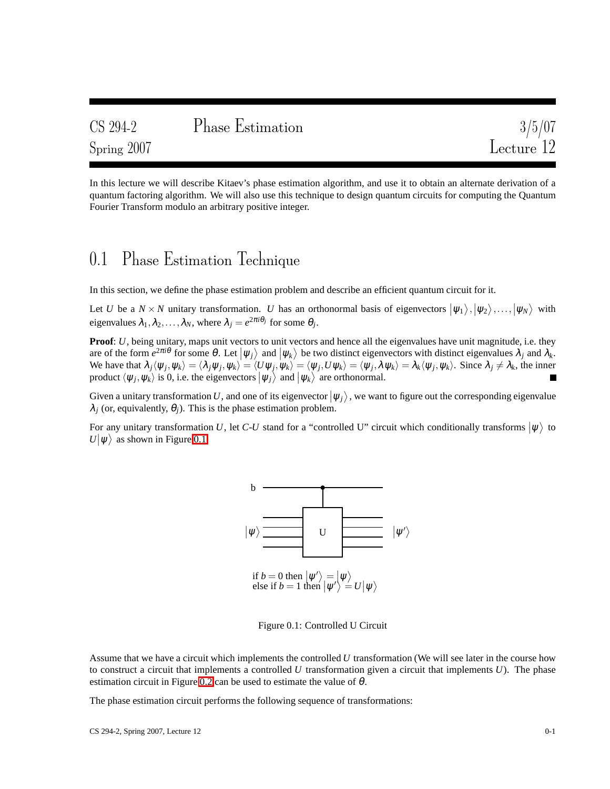## CS 294-2 Phase Estimation  $\frac{3}{5/07}$ <br>Spring 2007 Lecture 12 Spring 2007 Lecture 12

In this lecture we will describe Kitaev's phase estimation algorithm, and use it to obtain an alternate derivation of a quantum factoring algorithm. We will also use this technique to design quantum circuits for computing the Quantum Fourier Transform modulo an arbitrary positive integer.

## 0.1 Phase Estimation Technique

In this section, we define the phase estimation problem and describe an efficient quantum circuit for it.

Let *U* be a  $N \times N$  unitary transformation. *U* has an orthonormal basis of eigenvectors  $|\psi_1\rangle, |\psi_2\rangle, \dots, |\psi_N\rangle$  with eigenvalues  $\lambda_1, \lambda_2, \ldots, \lambda_N$ , where  $\lambda_j = e^{2\pi i \theta_j}$  for some  $\theta_j$ .

**Proof**: *U*, being unitary, maps unit vectors to unit vectors and hence all the eigenvalues have unit magnitude, i.e. they are of the form  $e^{2\pi i \theta}$  for some  $\theta$ . Let  $|\psi_j\rangle$  and  $|\psi_k\rangle$  be two distinct eigenvectors with distinct eigenvalues  $\lambda_j$  and  $\lambda_k$ . We have that  $\lambda_j \langle \psi_j, \psi_k \rangle = \langle \lambda_j \psi_j, \psi_k \rangle = \langle U \psi_j, \psi_k \rangle = \langle \psi_j, U \psi_k \rangle = \langle \psi_j, \lambda \psi_k \rangle = \lambda_k \langle \psi_j, \psi_k \rangle$ . Since  $\lambda_j \neq \lambda_k$ , the inner product  $\langle \psi_j, \psi_k \rangle$  is 0, i.e. the eigenvectors  $|\psi_j \rangle$  and  $|\psi_k \rangle$  are orthonormal.

Given a unitary transformation U, and one of its eigenvector  $|\psi_j\rangle$ , we want to figure out the corresponding eigenvalue  $\lambda_i$  (or, equivalently,  $\theta_i$ ). This is the phase estimation problem.

For any unitary transformation U, let C-U stand for a "controlled U" circuit which conditionally transforms  $|\psi\rangle$  to  $U|\psi\rangle$  as shown in Figure [0.1.](#page-0-0)



<span id="page-0-0"></span>Figure 0.1: Controlled U Circuit

Assume that we have a circuit which implements the controlled *U* transformation (We will see later in the course how to construct a circuit that implements a controlled *U* transformation given a circuit that implements *U*). The phase estimation circuit in Figure [0.2](#page-1-0) can be used to estimate the value of  $\theta$ .

The phase estimation circuit performs the following sequence of transformations: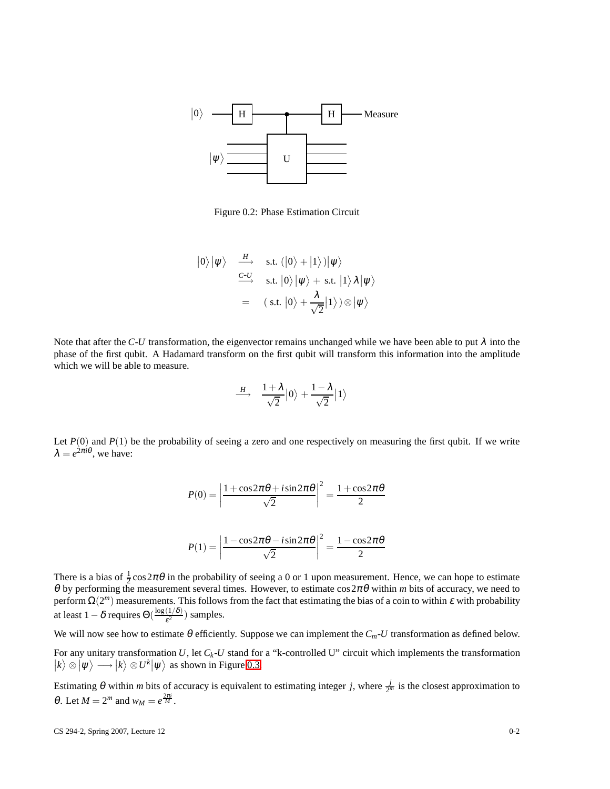

<span id="page-1-0"></span>Figure 0.2: Phase Estimation Circuit

$$
|0\rangle |\psi\rangle \xrightarrow{H} \text{ s.t. } (|0\rangle + |1\rangle)|\psi\rangle
$$
  

$$
\xrightarrow{C-U} \text{ s.t. } |0\rangle |\psi\rangle + \text{s.t. } |1\rangle \lambda |\psi\rangle
$$
  

$$
= (\text{s.t. } |0\rangle + \frac{\lambda}{\sqrt{2}}|1\rangle) \otimes |\psi\rangle
$$

Note that after the *C-U* transformation, the eigenvector remains unchanged while we have been able to put  $\lambda$  into the phase of the first qubit. A Hadamard transform on the first qubit will transform this information into the amplitude which we will be able to measure.

$$
\xrightarrow{H} \frac{1+\lambda}{\sqrt{2}} |0\rangle + \frac{1-\lambda}{\sqrt{2}} |1\rangle
$$

Let *P*(0) and *P*(1) be the probability of seeing a zero and one respectively on measuring the first qubit. If we write  $\lambda = e^{2\pi i \theta}$ , we have:

$$
P(0) = \left| \frac{1 + \cos 2\pi\theta + i \sin 2\pi\theta}{\sqrt{2}} \right|^2 = \frac{1 + \cos 2\pi\theta}{2}
$$

$$
P(1) = \left| \frac{1 - \cos 2\pi \theta - i \sin 2\pi \theta}{\sqrt{2}} \right|^2 = \frac{1 - \cos 2\pi \theta}{2}
$$

There is a bias of  $\frac{1}{2} \cos 2\pi \theta$  in the probability of seeing a 0 or 1 upon measurement. Hence, we can hope to estimate θ by performing the measurement several times. However, to estimate cos2πθ within *m* bits of accuracy, we need to perform  $\Omega(2^m)$  measurements. This follows from the fact that estimating the bias of a coin to within  $\varepsilon$  with probability at least 1 –  $\delta$  requires  $\Theta(\frac{\log(1/\delta)}{\varepsilon^2})$  samples.

We will now see how to estimate  $\theta$  efficiently. Suppose we can implement the  $C_m$ -*U* transformation as defined below.

For any unitary transformation U, let  $C_k$ -U stand for a "k-controlled U" circuit which implements the transformation  $|k\rangle \otimes |\psi\rangle \longrightarrow |k\rangle \otimes U^k |\psi\rangle$  as shown in Figure [0.3.](#page-2-0)

Estimating  $\theta$  within *m* bits of accuracy is equivalent to estimating integer *j*, where  $\frac{j}{2^m}$  is the closest approximation to  $\theta$ . Let  $M = 2^m$  and  $w_M = e^{\frac{2\pi i}{M}}$ .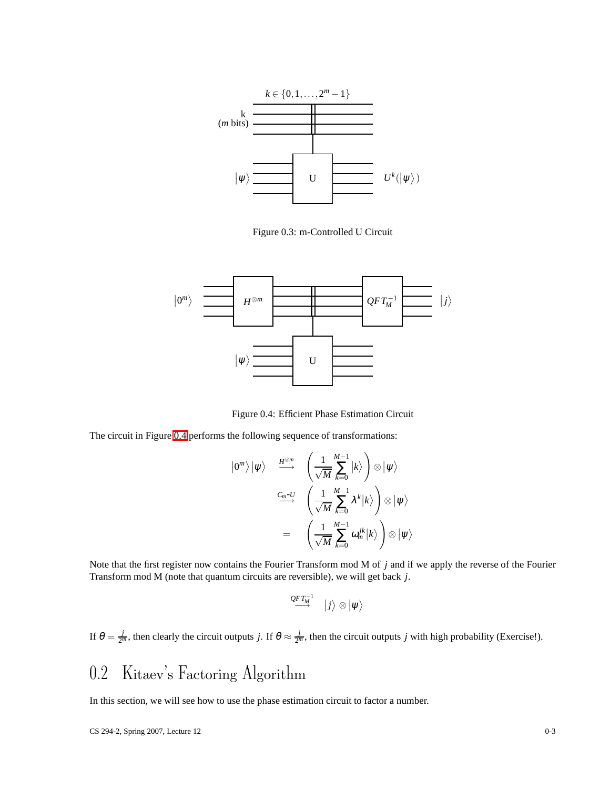

<span id="page-2-0"></span>Figure 0.3: m-Controlled U Circuit



<span id="page-2-1"></span>Figure 0.4: Efficient Phase Estimation Circuit

The circuit in Figure [0.4](#page-2-1) performs the following sequence of transformations:

$$
\begin{array}{cc} \left|0^{m}\right\rangle\left|\psi\right\rangle & \stackrel{H^{\otimes m}}{\longrightarrow} & \left(\dfrac{1}{\sqrt{M}}\sum_{k=0}^{M-1}\left|k\right\rangle\right)\otimes\left|\psi\right\rangle \\ \stackrel{C_{m}-U}{\longrightarrow} & \left(\dfrac{1}{\sqrt{M}}\sum_{k=0}^{M-1}\lambda^{k}\left|k\right\rangle\right)\otimes\left|\psi\right\rangle \\ = & \left(\dfrac{1}{\sqrt{M}}\sum_{k=0}^{M-1}\omega_{m}^{jk}\left|k\right\rangle\right)\otimes\left|\psi\right\rangle \end{array}
$$

Note that the first register now contains the Fourier Transform mod M of *j* and if we apply the reverse of the Fourier Transform mod M (note that quantum circuits are reversible), we will get back *j*.

$$
\stackrel{QFT_M^{-1}}{\longrightarrow}\hspace{0.2cm}\left|j\right>\otimes\left|\psi\right>
$$

If  $\theta = \frac{j}{2n}$  $\frac{j}{2^m}$ , then clearly the circuit outputs *j*. If  $\theta \approx \frac{j}{2^m}$  $\frac{1}{2^m}$ , then the circuit outputs *j* with high probability (Exercise!).

## 0.2 Kitaev's Factoring Algorithm

In this section, we will see how to use the phase estimation circuit to factor a number.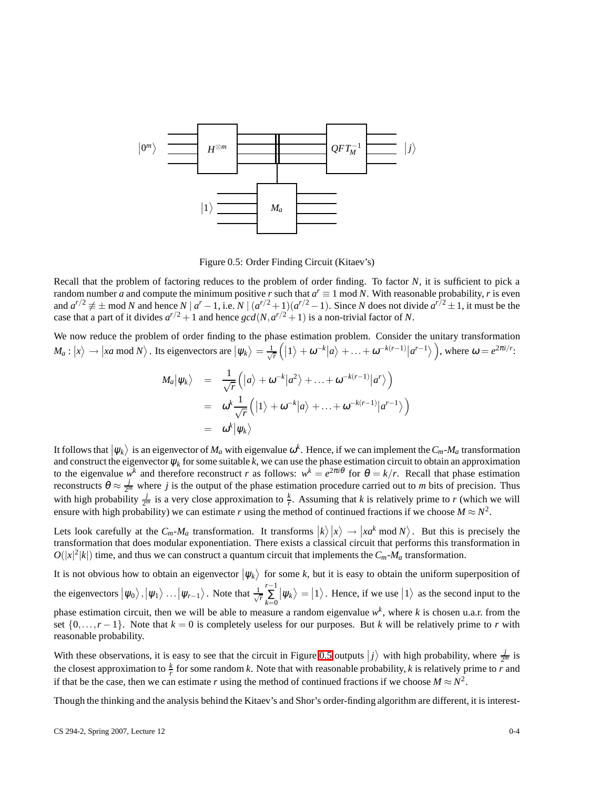

<span id="page-3-0"></span>Figure 0.5: Order Finding Circuit (Kitaev's)

Recall that the problem of factoring reduces to the problem of order finding. To factor *N*, it is sufficient to pick a random number *a* and compute the minimum positive *r* such that  $a^r \equiv 1 \text{ mod } N$ . With reasonable probability, *r* is even and  $a^{r/2} \not\equiv \pm \mod N$  and hence  $N | a^r - 1$ , i.e.  $N | (a^{r/2} + 1)(a^{r/2} - 1)$ . Since *N* does not divide  $a^{r/2} \pm 1$ , it must be the case that a part of it divides  $a^{r/2} + 1$  and hence  $gcd(N, a^{r/2} + 1)$  is a non-trivial factor of *N*.

We now reduce the problem of order finding to the phase estimation problem. Consider the unitary transformation  $M_a:|x\rangle \to |xa \bmod N\rangle$ . Its eigenvectors are  $|\psi_k\rangle = \frac{1}{\sqrt{r}}(|1\rangle + \omega^{-k}|a\rangle + \ldots + \omega^{-k(r-1)}|a^{r-1}\rangle)$ , where  $\omega = e^{2\pi i/r}$ .

$$
M_a|\psi_k\rangle = \frac{1}{\sqrt{r}} (|a\rangle + \omega^{-k} |a^2\rangle + \dots + \omega^{-k(r-1)} |a^r\rangle)
$$
  
=  $\omega^k \frac{1}{\sqrt{r}} (|1\rangle + \omega^{-k} |a\rangle + \dots + \omega^{-k(r-1)} |a^{r-1}\rangle)$   
=  $\omega^k |\psi_k\rangle$ 

It follows that  $|\psi_k\rangle$  is an eigenvector of  $M_a$  with eigenvalue  $\omega^k$ . Hence, if we can implement the  $C_m$ - $M_a$  transformation <sup>ψ</sup>*<sup>k</sup>* and construct the eigenvector  $\psi_k$  for some suitable  $k$ , we can use the phase estimation circuit to obtain an approximation to the eigenvalue  $w^k$  and therefore reconstruct *r* as follows:  $w^k = e^{2\pi i \theta}$  for  $\theta = k/r$ . Recall that phase estimation reconstructs  $\theta \approx \frac{j}{2^m}$  where *j* is the output of the phase estimation procedure carried out to *m* bits of precision. Thus with high probability  $\frac{j}{2^m}$  is a very close approximation to  $\frac{k}{r}$ . Assuming that *k* is relatively prime to *r* (which we will ensure with high probability) we can estimate *r* using the method of continued fractions if we choose  $M \approx N^2$ .

Lets look carefully at the  $C_m$ - $M_a$  transformation. It transforms  $|k\rangle |x\rangle \rightarrow |xa^k \mod N$ . But this is precisely the transformation that does modular exponentiation. There exists a classical circuit that performs this transformation in  $O(|x|^2|k|)$  time, and thus we can construct a quantum circuit that implements the  $C_m$ - $M_a$  transformation.

It is not obvious how to obtain an eigenvector  $|\psi_k\rangle$  for some k, but it is easy to obtain the uniform superposition of the eigenvectors  $|\psi_0\rangle, |\psi_1\rangle \dots |\psi_{r-1}\rangle$ . Note that  $\frac{1}{\sqrt{r}}$ *r*−1 ∑ *k*=0  $|\psi_k\rangle = |1\rangle$ . Hence, if we use  $|1\rangle$  as the second input to the phase estimation circuit, then we will be able to measure a random eigenvalue *w k* , where *k* is chosen u.a.r. from the set  $\{0,\ldots,r-1\}$ . Note that  $k=0$  is completely useless for our purposes. But k will be relatively prime to r with reasonable probability.

With these observations, it is easy to see that the circuit in Figure [0.5](#page-3-0) outputs  $|j\rangle$  with high probability, where  $\frac{j}{2m}$  is the closest approximation to  $\frac{k}{r}$  for some random *k*. Note that with reasonable probability, *k* is relatively prime to *r* and if that be the case, then we can estimate *r* using the method of continued fractions if we choose  $M \approx N^2$ .

Though the thinking and the analysis behind the Kitaev's and Shor's order-finding algorithm are different, it is interest-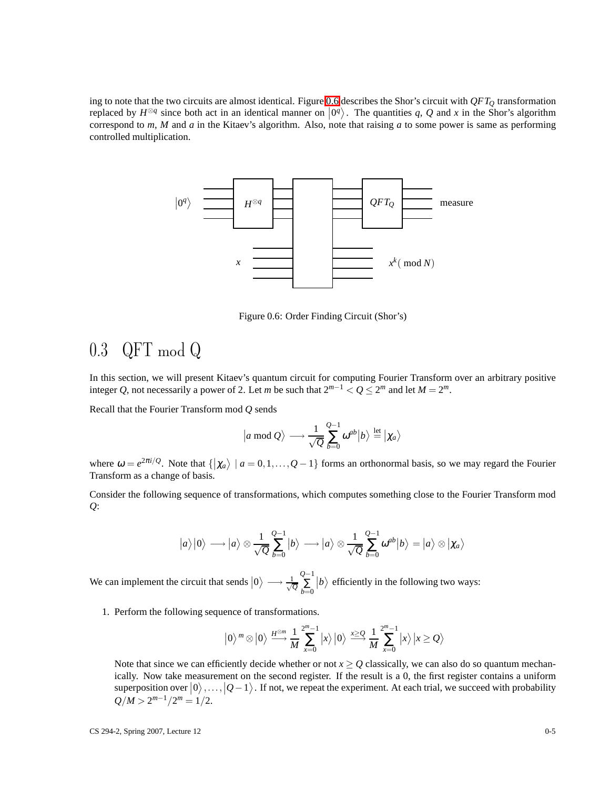ing to note that the two circuits are almost identical. Figure [0.6](#page-4-0) describes the Shor's circuit with *QFT<sup>Q</sup>* transformation replaced by  $H^{\otimes q}$  since both act in an identical manner on  $|0^q\rangle$ . The quantities *q*, *Q* and *x* in the Shor's algorithm correspond to *m*, *M* and *a* in the Kitaev's algorithm. Also, note that raising *a* to some power is same as performing controlled multiplication.



<span id="page-4-0"></span>Figure 0.6: Order Finding Circuit (Shor's)

## 0.3 QFT mod Q

In this section, we will present Kitaev's quantum circuit for computing Fourier Transform over an arbitrary positive integer *Q*, not necessarily a power of 2. Let *m* be such that  $2^{m-1} < Q \le 2^m$  and let  $M = 2^m$ .

Recall that the Fourier Transform mod *Q* sends

$$
|a \bmod Q\rangle \longrightarrow \frac{1}{\sqrt{Q}} \sum_{b=0}^{Q-1} \omega^{ab} |b\rangle \stackrel{\text{let}}{=} |\chi_a\rangle
$$

where  $\omega = e^{2\pi i / Q}$ . Note that  $\{ | \chi_a \rangle \mid a = 0, 1, ..., Q - 1 \}$  forms an orthonormal basis, so we may regard the Fourier Transform as a change of basis.

Consider the following sequence of transformations, which computes something close to the Fourier Transform mod *Q*:

$$
|a\rangle|0\rangle \longrightarrow |a\rangle \otimes \frac{1}{\sqrt{Q}} \sum_{b=0}^{Q-1} |b\rangle \longrightarrow |a\rangle \otimes \frac{1}{\sqrt{Q}} \sum_{b=0}^{Q-1} \omega^{ab} |b\rangle = |a\rangle \otimes |\chi_a\rangle
$$

We can implement the circuit that sends  $|0\rangle \longrightarrow \frac{1}{\sqrt{9}}$ *Q Q*−1 ∑ *b*=0  $|b\rangle$  efficiently in the following two ways:

1. Perform the following sequence of transformations.

$$
\left|0\right>^m\otimes\left|0\right>\xrightarrow{H^{\otimes m}}\frac{1}{M}\sum_{x=0}^{2^m-1}\left|x\right>\left|0\right>\xrightarrow{x\geq Q}\frac{1}{M}\sum_{x=0}^{2^m-1}\left|x\right>\left|x\geq Q\right>
$$

Note that since we can efficiently decide whether or not  $x \ge Q$  classically, we can also do so quantum mechanically. Now take measurement on the second register. If the result is a 0, the first register contains a uniform superposition over  $|0\rangle, \ldots, |Q-1\rangle$ . If not, we repeat the experiment. At each trial, we succeed with probability  $Q/M > 2^{m-1}/2^m = 1/2.$